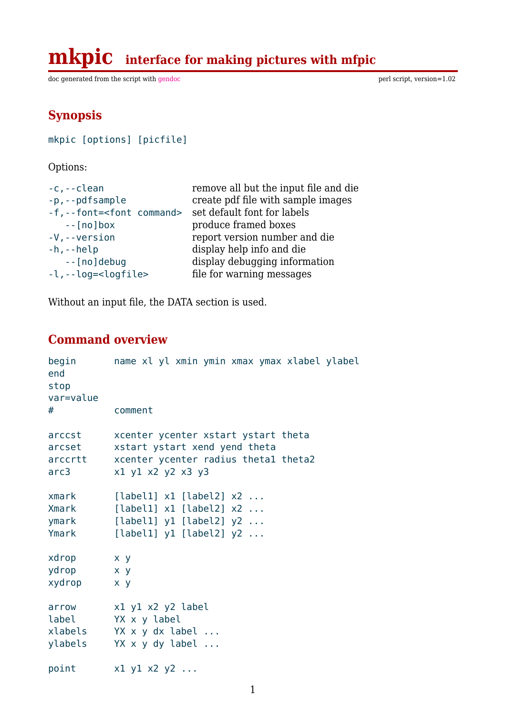doc generated from the script with gendoc perl script, version=1.02

# **Synopsis**

mkpic [options] [picfile]

Options:

| $-c, -c$ lean                       | remove all but the input file and die |
|-------------------------------------|---------------------------------------|
| -p,--pdfsample                      | create pdf file with sample images    |
| -f,--font= <font command=""></font> | set default font for labels           |
| $-$ [no] box                        | produce framed boxes                  |
| $-V$ , $-V$ ersion                  | report version number and die         |
| $-h, -h$ elp                        | display help info and die             |
| --[no]debug                         | display debugging information         |
| $-l$ , $-l$ og= < logfile>          | file for warning messages             |
|                                     |                                       |

Without an input file, the DATA section is used.

# **Command overview**

| begin<br>end<br>stop<br>var=value<br># | name xl yl xmin ymin xmax ymax xlabel ylabel<br>comment |
|----------------------------------------|---------------------------------------------------------|
| arccst                                 | xcenter ycenter xstart ystart theta                     |
| arcset                                 | xstart ystart xend yend theta                           |
| arccrtt                                | xcenter ycenter radius thetal theta2                    |
| arc3                                   | x1 y1 x2 y2 x3 y3                                       |
| xmark                                  | $[label1] x1 [label2] x2 \dots$                         |
| Xmark                                  | [label1] $x1$ [label2] $x2$                             |
| ymark                                  | [label1] $y1$ [label2] $y2$                             |
| Ymark                                  | [label1] $y1$ [label2] $y2$                             |
| xdrop                                  | $x \ y$                                                 |
| ydrop                                  | $X$ $Y$                                                 |
| xydrop                                 | x y                                                     |
| arrow                                  | x1 y1 x2 y2 label                                       |
| label                                  | YX x y label                                            |
| xlabels                                | YX x y dx label                                         |
| ylabels                                | YX x y dy label                                         |
| point                                  | $x1$ y1 $x2$ y2                                         |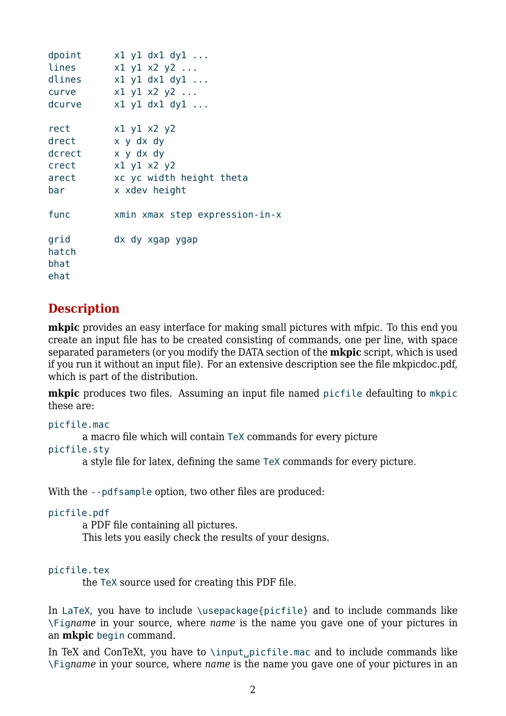```
dpoint x1 y1 dx1 dy1 ...lines x1 y1 x2 y2 ...dlines x1 y1 dx1 dy1 ...curve x1 y1 x2 y2 ...
dcurve x1 y1 dx1 dy1 ...rect x1 y1 x2 y2drect x y dx dy
dcrect x y dx dy
crect x1 y1 x2 y2
arect xc yc width height theta
bar x xdev height
func xmin xmax step expression-in-x
grid dx dy xgap ygap
hatch
bhat
ehat
```
## **Description**

**mkpic** provides an easy interface for making small pictures with mfpic. To this end you create an input file has to be created consisting of commands, one per line, with space separated parameters (or you modify the DATA section of the **mkpic** script, which is used if you run it without an input file). For an extensive description see the file mkpicdoc.pdf, which is part of the distribution.

**mkpic** produces two files. Assuming an input file named picfile defaulting to mkpic these are:

```
picfile.mac
```
a macro file which will contain TeX commands for every picture

picfile.sty

a style file for latex, defining the same TeX commands for every picture.

With the --pdfsample option, two other files are produced:

```
picfile.pdf
```
a PDF file containing all pictures.

This lets you easily check the results of your designs.

#### picfile.tex

the TeX source used for creating this PDF file.

In LaTeX, you have to include \usepackage{picfile} and to include commands like \Fig*name* in your source, where *name* is the name you gave one of your pictures in an **mkpic** begin command.

In TeX and ConTeXt, you have to  $\infty$ , picfile.mac and to include commands like \Fig*name* in your source, where *name* is the name you gave one of your pictures in an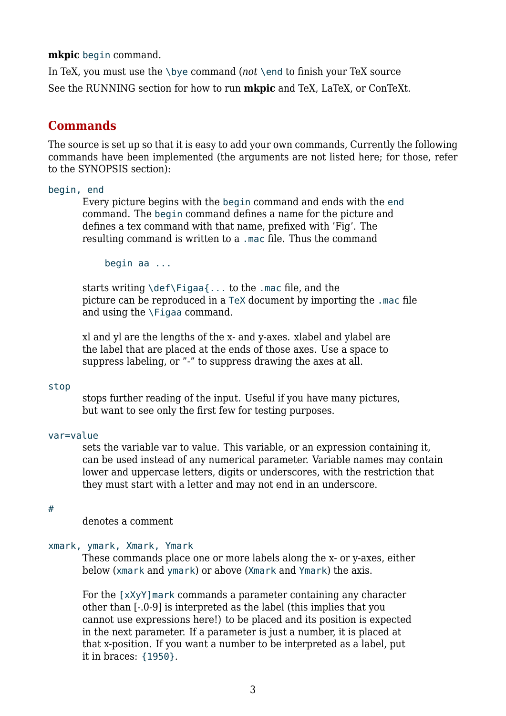**mkpic** begin command.

In TeX, you must use the \bye command (*not* \end to finish your TeX source See the RUNNING section for how to run **mkpic** and TeX, LaTeX, or ConTeXt.

## **Commands**

The source is set up so that it is easy to add your own commands, Currently the following commands have been implemented (the arguments are not listed here; for those, refer to the SYNOPSIS section):

#### begin, end

Every picture begins with the begin command and ends with the end command. The begin command defines a name for the picture and defines a tex command with that name, prefixed with 'Fig'. The resulting command is written to a .mac file. Thus the command

begin aa ...

starts writing \def\Figaa{... to the .mac file, and the picture can be reproduced in a TeX document by importing the .mac file and using the \Figaa command.

xl and yl are the lengths of the x- and y-axes. xlabel and ylabel are the label that are placed at the ends of those axes. Use a space to suppress labeling, or "-" to suppress drawing the axes at all.

#### stop

stops further reading of the input. Useful if you have many pictures, but want to see only the first few for testing purposes.

#### var=value

sets the variable var to value. This variable, or an expression containing it, can be used instead of any numerical parameter. Variable names may contain lower and uppercase letters, digits or underscores, with the restriction that they must start with a letter and may not end in an underscore.

#### #

denotes a comment

#### xmark, ymark, Xmark, Ymark

These commands place one or more labels along the x- or y-axes, either below (xmark and ymark) or above (Xmark and Ymark) the axis.

For the [xXyY]mark commands a parameter containing any character other than [-.0-9] is interpreted as the label (this implies that you cannot use expressions here!) to be placed and its position is expected in the next parameter. If a parameter is just a number, it is placed at that x-position. If you want a number to be interpreted as a label, put it in braces: {1950}.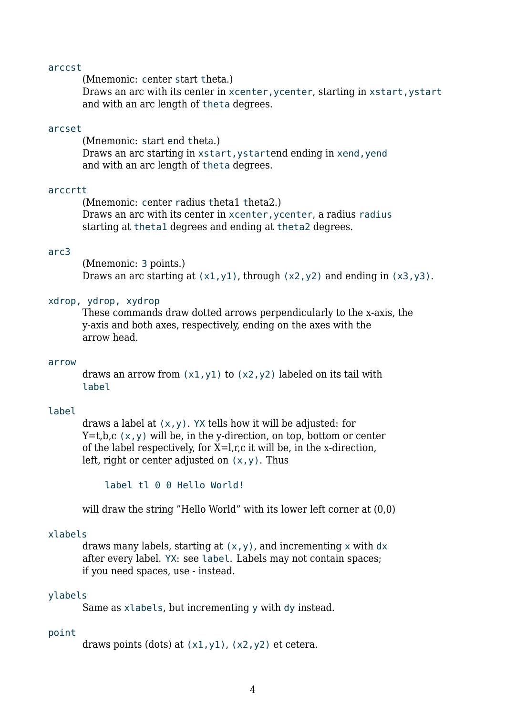#### arccst

(Mnemonic: center start theta.)

Draws an arc with its center in xcenter, ycenter, starting in xstart, ystart and with an arc length of theta degrees.

#### arcset

(Mnemonic: start end theta.) Draws an arc starting in xstart, ystartend ending in xend, yend and with an arc length of theta degrees.

#### arccrtt

(Mnemonic: center radius theta1 theta2.) Draws an arc with its center in xcenter, ycenter, a radius radius starting at theta1 degrees and ending at theta2 degrees.

#### arc3

(Mnemonic: 3 points.) Draws an arc starting at  $(x1,y1)$ , through  $(x2,y2)$  and ending in  $(x3,y3)$ .

#### xdrop, ydrop, xydrop

These commands draw dotted arrows perpendicularly to the x-axis, the y-axis and both axes, respectively, ending on the axes with the arrow head.

#### arrow

draws an arrow from  $(x1,y1)$  to  $(x2,y2)$  labeled on its tail with label

#### label

draws a label at  $(x, y)$ . YX tells how it will be adjusted: for  $Y=t,b,c(x,y)$  will be, in the y-direction, on top, bottom or center of the label respectively, for  $X=1, r, c$  it will be, in the x-direction, left, right or center adjusted on  $(x,y)$ . Thus

label tl 0 0 Hello World!

will draw the string "Hello World" with its lower left corner at (0,0)

#### xlabels

draws many labels, starting at  $(x, y)$ , and incrementing x with dx after every label. YX: see label. Labels may not contain spaces; if you need spaces, use - instead.

#### ylabels

Same as xlabels, but incrementing y with dy instead.

#### point

draws points (dots) at  $(x1,y1)$ ,  $(x2,y2)$  et cetera.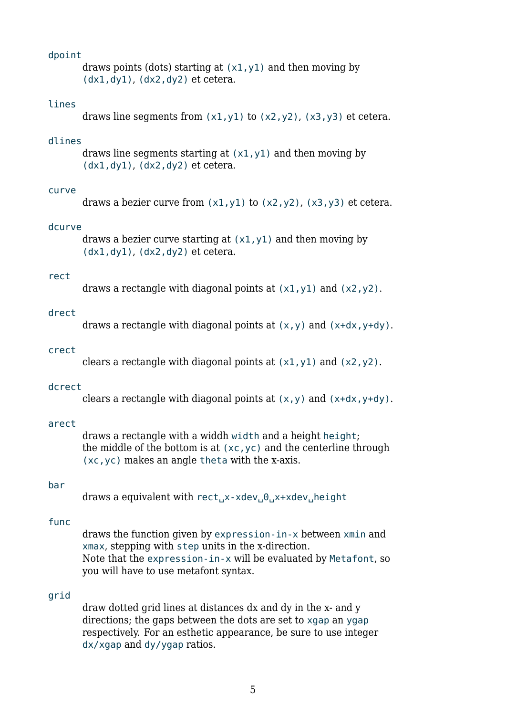#### dpoint

draws points (dots) starting at  $(x1, y1)$  and then moving by  $(dx1, dy1)$ ,  $(dx2, dy2)$  et cetera.

#### lines

draws line segments from  $(x1,y1)$  to  $(x2,y2)$ ,  $(x3,y3)$  et cetera.

#### dlines

draws line segments starting at  $(x1,y1)$  and then moving by  $(dx1, dy1)$ ,  $(dx2, dy2)$  et cetera.

#### curve

draws a bezier curve from  $(x1,y1)$  to  $(x2,y2)$ ,  $(x3,y3)$  et cetera.

#### dcurve

draws a bezier curve starting at  $(x1,y1)$  and then moving by  $(dx1, dy1)$ ,  $(dx2, dy2)$  et cetera.

### rect

draws a rectangle with diagonal points at  $(x1, y1)$  and  $(x2, y2)$ .

#### drect

draws a rectangle with diagonal points at  $(x,y)$  and  $(x+dx,y+dy)$ .

#### crect

clears a rectangle with diagonal points at  $(x1, y1)$  and  $(x2, y2)$ .

#### dcrect

clears a rectangle with diagonal points at  $(x,y)$  and  $(x+dx,y+dy)$ .

#### arect

draws a rectangle with a widdh width and a height height; the middle of the bottom is at  $(xc,yc)$  and the centerline through (xc,yc) makes an angle theta with the x-axis.

#### bar

draws a equivalent with rect
[x-xdev], 0, x+xdev, height

#### func

draws the function given by expression-in-x between xmin and xmax, stepping with step units in the x-direction. Note that the expression-in-x will be evaluated by Metafont, so you will have to use metafont syntax.

#### grid

draw dotted grid lines at distances dx and dy in the x- and y directions; the gaps between the dots are set to xgap an ygap respectively. For an esthetic appearance, be sure to use integer dx/xgap and dy/ygap ratios.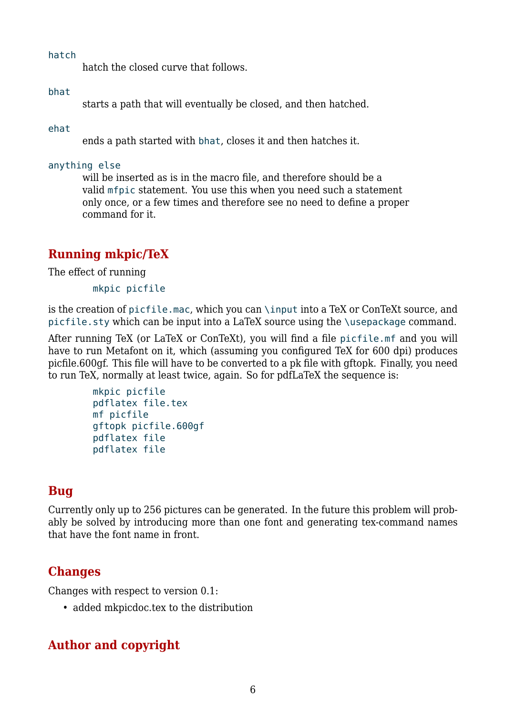hatch

hatch the closed curve that follows.

### bhat

starts a path that will eventually be closed, and then hatched.

### ehat

ends a path started with bhat, closes it and then hatches it.

### anything else

will be inserted as is in the macro file, and therefore should be a valid mfpic statement. You use this when you need such a statement only once, or a few times and therefore see no need to define a proper command for it.

# **Running mkpic/TeX**

The effect of running

mkpic picfile

is the creation of picfile.mac, which you can \input into a TeX or ConTeXt source, and picfile.sty which can be input into a LaTeX source using the \usepackage command.

After running TeX (or LaTeX or ConTeXt), you will find a file picfile.mf and you will have to run Metafont on it, which (assuming you configured TeX for 600 dpi) produces picfile.600gf. This file will have to be converted to a pk file with gftopk. Finally, you need to run TeX, normally at least twice, again. So for pdfLaTeX the sequence is:

```
mkpic picfile
pdflatex file.tex
mf picfile
gftopk picfile.600gf
pdflatex file
pdflatex file
```
## **Bug**

Currently only up to 256 pictures can be generated. In the future this problem will probably be solved by introducing more than one font and generating tex-command names that have the font name in front.

## **Changes**

Changes with respect to version 0.1:

• added mkpicdoc.tex to the distribution

# **Author and copyright**